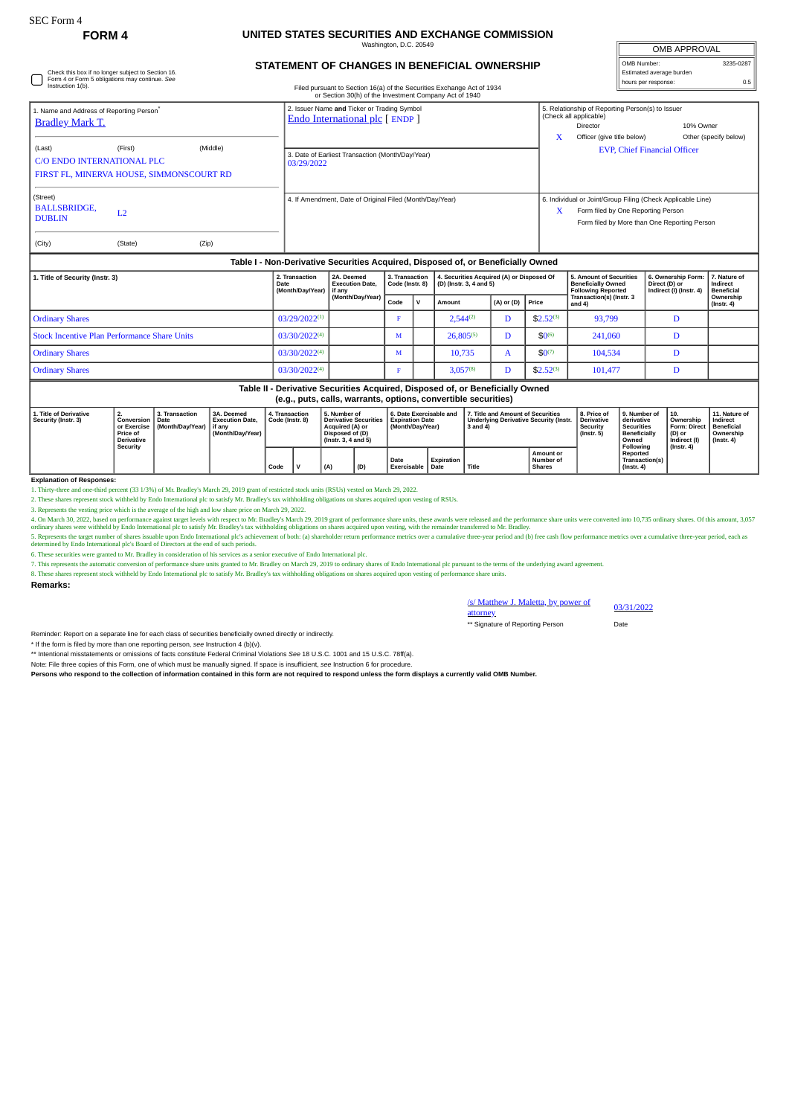Check this box if no longer subject to Section 16. Form 4 or Form 5 obligations may continue. *See* Instruction 1(b).

## **FORM 4 UNITED STATES SECURITIES AND EXCHANGE COMMISSION** Washington, D.C. 20549

**STATEMENT OF CHANGES IN BENEFICIAL OWNERSHIP**

Filed pursuant to Section 16(a) of the Securities Exchange Act of 1934 or Section 30(h) of the Investment Company Act of 1940

| OMB APPROVAL             |           |  |  |  |  |  |
|--------------------------|-----------|--|--|--|--|--|
| OMB Number:              | 3235-0287 |  |  |  |  |  |
| Estimated average burden |           |  |  |  |  |  |
| hours per response:      | n 5       |  |  |  |  |  |

| or Section 30(ii) of the investment Company Act of 1940                                 |                           |                                                                                  |                                                                              |                                                                                                                                                                 |  |  |  |  |  |  |
|-----------------------------------------------------------------------------------------|---------------------------|----------------------------------------------------------------------------------|------------------------------------------------------------------------------|-----------------------------------------------------------------------------------------------------------------------------------------------------------------|--|--|--|--|--|--|
| 1. Name and Address of Reporting Person <sup>®</sup><br><b>Bradley Mark T.</b>          |                           |                                                                                  | 2. Issuer Name and Ticker or Trading Symbol<br>Endo International plc [ENDP] | 5. Relationship of Reporting Person(s) to Issuer<br>(Check all applicable)<br>10% Owner<br>Director<br>Officer (give title below)<br>Other (specify below)<br>X |  |  |  |  |  |  |
| (Last)<br><b>C/O ENDO INTERNATIONAL PLC</b><br>FIRST FL, MINERVA HOUSE, SIMMONSCOURT RD | (First)                   | (Middle)                                                                         | 3. Date of Earliest Transaction (Month/Day/Year)<br>03/29/2022               | <b>EVP, Chief Financial Officer</b>                                                                                                                             |  |  |  |  |  |  |
| (Street)<br><b>BALLSBRIDGE.</b><br><b>DUBLIN</b><br>(City)                              | L <sub>2</sub><br>(State) | (Zip)                                                                            | 4. If Amendment, Date of Original Filed (Month/Day/Year)                     | 6. Individual or Joint/Group Filing (Check Applicable Line)<br>X<br>Form filed by One Reporting Person<br>Form filed by More than One Reporting Person          |  |  |  |  |  |  |
|                                                                                         |                           |                                                                                  |                                                                              |                                                                                                                                                                 |  |  |  |  |  |  |
|                                                                                         |                           | Table I - Non-Derivative Securities Acquired, Disposed of, or Beneficially Owned |                                                                              |                                                                                                                                                                 |  |  |  |  |  |  |

| 1. Title of Security (Instr. 3)                                                                                                                                                                                                                   |  |                                   | 2. Transaction<br>Date<br>(Month/Day/Year)                                                                | 2A. Deemed<br><b>Execution Date.</b><br>if any<br>(Month/Day/Year)    | 3. Transaction<br>Code (Instr. 8) |               |                                                                                                | 4. Securities Acquired (A) or Disposed Of<br>(D) (Instr. 3, 4 and 5) |                                                                  |                                                                                              | <b>5. Amount of Securities</b><br><b>Beneficially Owned</b><br><b>Following Reported</b> | 6. Ownership Form:<br>Direct (D) or<br>Indirect (I) (Instr. 4)            | . Nature of<br>Indirect<br><b>Beneficial</b> |  |
|---------------------------------------------------------------------------------------------------------------------------------------------------------------------------------------------------------------------------------------------------|--|-----------------------------------|-----------------------------------------------------------------------------------------------------------|-----------------------------------------------------------------------|-----------------------------------|---------------|------------------------------------------------------------------------------------------------|----------------------------------------------------------------------|------------------------------------------------------------------|----------------------------------------------------------------------------------------------|------------------------------------------------------------------------------------------|---------------------------------------------------------------------------|----------------------------------------------|--|
|                                                                                                                                                                                                                                                   |  |                                   |                                                                                                           |                                                                       | Code                              |               | Amount                                                                                         | (A) or (D)                                                           | Price                                                            | Transaction(s) (Instr. 3<br>and $4$ )                                                        |                                                                                          |                                                                           | Ownership<br>$($ lnstr. 4 $)$                |  |
| <b>Ordinary Shares</b>                                                                                                                                                                                                                            |  | $03/29/2022^{(1)}$                |                                                                                                           |                                                                       |                                   | $2,544^{(2)}$ | D                                                                                              | $$2.52^{(3)}$                                                        | 93,799                                                           |                                                                                              |                                                                                          |                                                                           |                                              |  |
| Stock Incentive Plan Performance Share Units                                                                                                                                                                                                      |  |                                   |                                                                                                           | 03/30/2022(4)                                                         |                                   | M             |                                                                                                | $26,805^{(5)}$                                                       | D                                                                | $$0^{(6)}$$                                                                                  | 241,060                                                                                  |                                                                           | D                                            |  |
| <b>Ordinary Shares</b>                                                                                                                                                                                                                            |  | 03/30/2022(4)                     |                                                                                                           | М                                                                     |                                   | 10,735        | A                                                                                              | $$0^{(7)}$                                                           | 104,534                                                          |                                                                                              |                                                                                          |                                                                           |                                              |  |
| <b>Ordinary Shares</b>                                                                                                                                                                                                                            |  | $03/30/2022^{(4)}$                |                                                                                                           |                                                                       |                                   | $3.057^{(8)}$ | D                                                                                              | $$2.52^{(3)}$                                                        | 101.477                                                          |                                                                                              |                                                                                          |                                                                           |                                              |  |
| Table II - Derivative Securities Acquired, Disposed of, or Beneficially Owned<br>(e.g., puts, calls, warrants, options, convertible securities)                                                                                                   |  |                                   |                                                                                                           |                                                                       |                                   |               |                                                                                                |                                                                      |                                                                  |                                                                                              |                                                                                          |                                                                           |                                              |  |
| 3. Transaction<br>3A. Deemed<br>1. Title of Derivative<br>2.<br>Date<br>Conversion<br><b>Execution Date,</b><br>Security (Instr. 3)<br>(Month/Day/Year)<br>or Exercise<br>if any<br>Price of<br>(Month/Day/Year)<br><b>Derivative</b><br>Security |  | 4. Transaction<br>Code (Instr. 8) | 5. Number of<br><b>Derivative Securities</b><br>Acquired (A) or<br>Disposed of (D)<br>(Instr. 3, 4 and 5) | 6. Date Exercisable and<br><b>Expiration Date</b><br>(Month/Day/Year) |                                   |               | 7. Title and Amount of Securities<br><b>Underlying Derivative Security (Instr.</b><br>3 and 4) |                                                                      | 8. Price of<br><b>Derivative</b><br>Security<br>$($ Instr. 5 $)$ | 9. Number of<br>derivative<br><b>Securities</b><br><b>Beneficially</b><br>Owned<br>Following | 10.<br>Ownership<br>Form: Direct<br>(D) or<br>Indirect (I)<br>$($ Instr. 4 $)$           | 11. Nature of<br>Indirect<br><b>Beneficial</b><br>Ownership<br>(Instr. 4) |                                              |  |

## **Explanation of Responses:**

1. Thirty-three and one-third percent (33 1/3%) of Mr. Bradley's March 29, 2019 grant of restricted stock units (RSUs) vested on March 29, 2022.

2. These shares represent stock withheld by Endo International plc to satisfy Mr. Bradley's tax withholding obligations on shares acquired upon vesting of RSUs.

3. Represents the vesting price which is the average of the high and low share price on March 29, 2022.

4. On March 30, 2022, based on performance against target levels with respect to Mr. Bradley's March 29, 2019 grant of performance share unifs, these awards were released and the performance share units were converted into

**Date Exercisable**

**Expiration Date Title**

5. Represents the target number of shares issuable upon Endo International plc's achievement of both: (a) shareholder return performance metrics over a cumulative three-year period and (b) free cash flow performance metric

6. These securities were granted to Mr. Bradley in consideration of his services as a senior executive of Endo International plc.

7. This represents the automatic conversion of performance share units granted to Mr. Bradley on March 29, 2019 to ordinary shares of Endo International plc pursuant to the terms of the underlying award agreement.<br>8. These

**Code V (A) (D)**

**Remarks:**

/s/ Matthew J. Maletta, by power of attorney \*\* Signature of Reporting Person Date

**Amount or Number of Shares**

03/31/2022

**Following Reported Transaction(s) (Instr. 4)**

Reminder: Report on a separate line for each class of securities beneficially owned directly or indirectly.

\* If the form is filed by more than one reporting person, *see* Instruction 4 (b)(v).

\*\* Intentional misstatements or omissions of facts constitute Federal Criminal Violations *See* 18 U.S.C. 1001 and 15 U.S.C. 78ff(a).

Note: File three copies of this Form, one of which must be manually signed. If space is insufficient, *see* Instruction 6 for procedure. **Persons who respond to the collection of information contained in this form are not required to respond unless the form displays a currently valid OMB Number.**